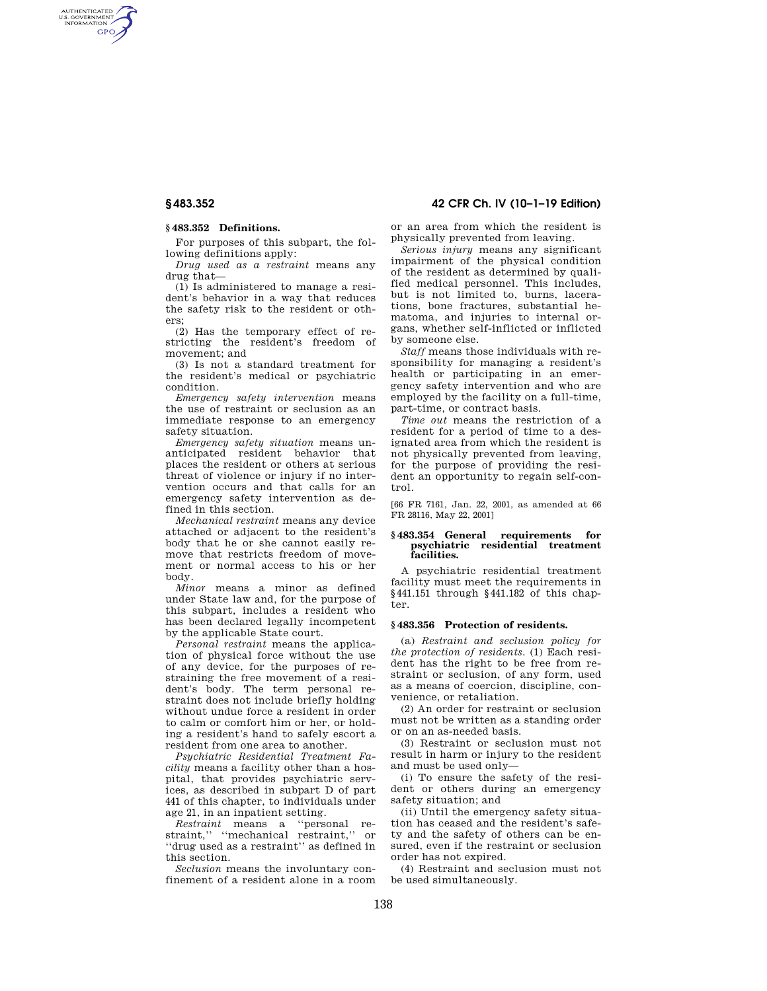AUTHENTICATED<br>U.S. GOVERNMENT<br>INFORMATION **GPO** 

# **§ 483.352 Definitions.**

For purposes of this subpart, the following definitions apply:

*Drug used as a restraint* means any drug that—

(1) Is administered to manage a resident's behavior in a way that reduces the safety risk to the resident or others;

(2) Has the temporary effect of restricting the resident's freedom of movement; and

(3) Is not a standard treatment for the resident's medical or psychiatric condition.

*Emergency safety intervention* means the use of restraint or seclusion as an immediate response to an emergency safety situation.

*Emergency safety situation* means unanticipated resident behavior that places the resident or others at serious threat of violence or injury if no intervention occurs and that calls for an emergency safety intervention as defined in this section.

*Mechanical restraint* means any device attached or adjacent to the resident's body that he or she cannot easily remove that restricts freedom of movement or normal access to his or her body.

*Minor* means a minor as defined under State law and, for the purpose of this subpart, includes a resident who has been declared legally incompetent by the applicable State court.

*Personal restraint* means the application of physical force without the use of any device, for the purposes of restraining the free movement of a resident's body. The term personal restraint does not include briefly holding without undue force a resident in order to calm or comfort him or her, or holding a resident's hand to safely escort a resident from one area to another.

*Psychiatric Residential Treatment Facility* means a facility other than a hospital, that provides psychiatric services, as described in subpart D of part 441 of this chapter, to individuals under age 21, in an inpatient setting.

*Restraint* means a ''personal restraint," "mechanical restraint," or ''drug used as a restraint'' as defined in this section.

*Seclusion* means the involuntary confinement of a resident alone in a room

**§ 483.352 42 CFR Ch. IV (10–1–19 Edition)** 

or an area from which the resident is physically prevented from leaving.

*Serious injury* means any significant impairment of the physical condition of the resident as determined by qualified medical personnel. This includes, but is not limited to, burns, lacerations, bone fractures, substantial hematoma, and injuries to internal organs, whether self-inflicted or inflicted by someone else.

*Staff* means those individuals with responsibility for managing a resident's health or participating in an emergency safety intervention and who are employed by the facility on a full-time, part-time, or contract basis.

*Time out* means the restriction of a resident for a period of time to a designated area from which the resident is not physically prevented from leaving, for the purpose of providing the resident an opportunity to regain self-control.

[66 FR 7161, Jan. 22, 2001, as amended at 66 FR 28116, May 22, 2001]

### **§ 483.354 General requirements for psychiatric residential treatment facilities.**

A psychiatric residential treatment facility must meet the requirements in §441.151 through §441.182 of this chapter.

# **§ 483.356 Protection of residents.**

(a) *Restraint and seclusion policy for the protection of residents.* (1) Each resident has the right to be free from restraint or seclusion, of any form, used as a means of coercion, discipline, convenience, or retaliation.

(2) An order for restraint or seclusion must not be written as a standing order or on an as-needed basis.

(3) Restraint or seclusion must not result in harm or injury to the resident and must be used only—

(i) To ensure the safety of the resident or others during an emergency safety situation; and

(ii) Until the emergency safety situation has ceased and the resident's safety and the safety of others can be ensured, even if the restraint or seclusion order has not expired.

(4) Restraint and seclusion must not be used simultaneously.